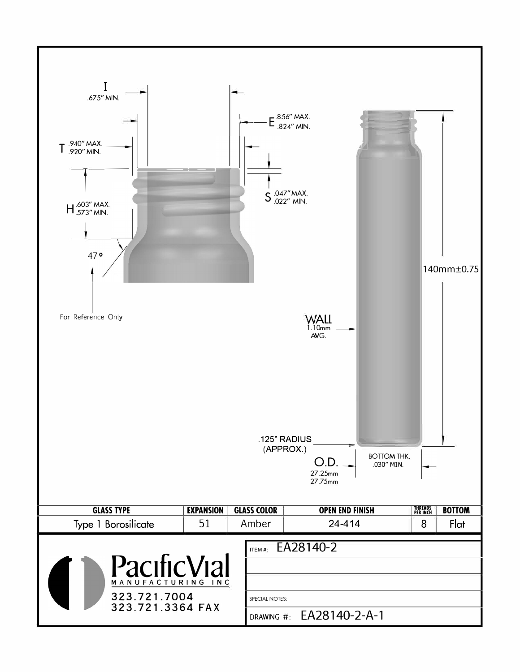